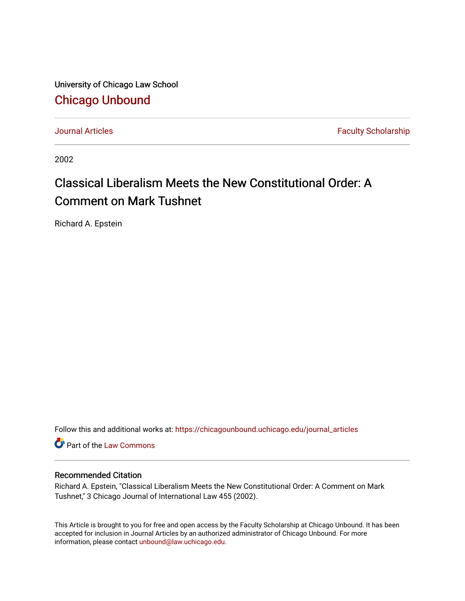University of Chicago Law School [Chicago Unbound](https://chicagounbound.uchicago.edu/)

[Journal Articles](https://chicagounbound.uchicago.edu/journal_articles) **Faculty Scholarship Faculty Scholarship** 

2002

# Classical Liberalism Meets the New Constitutional Order: A Comment on Mark Tushnet

Richard A. Epstein

Follow this and additional works at: [https://chicagounbound.uchicago.edu/journal\\_articles](https://chicagounbound.uchicago.edu/journal_articles?utm_source=chicagounbound.uchicago.edu%2Fjournal_articles%2F1218&utm_medium=PDF&utm_campaign=PDFCoverPages) 

Part of the [Law Commons](http://network.bepress.com/hgg/discipline/578?utm_source=chicagounbound.uchicago.edu%2Fjournal_articles%2F1218&utm_medium=PDF&utm_campaign=PDFCoverPages)

### Recommended Citation

Richard A. Epstein, "Classical Liberalism Meets the New Constitutional Order: A Comment on Mark Tushnet," 3 Chicago Journal of International Law 455 (2002).

This Article is brought to you for free and open access by the Faculty Scholarship at Chicago Unbound. It has been accepted for inclusion in Journal Articles by an authorized administrator of Chicago Unbound. For more information, please contact [unbound@law.uchicago.edu](mailto:unbound@law.uchicago.edu).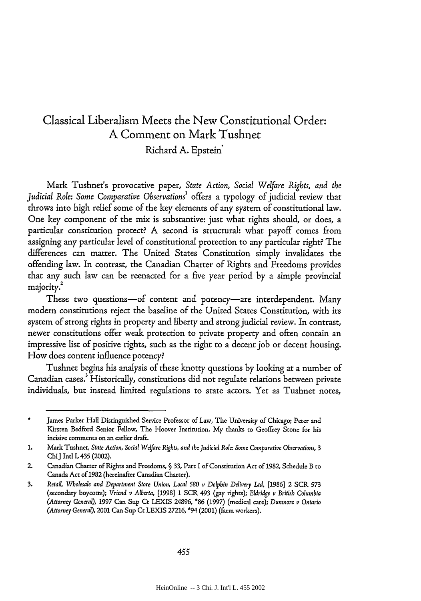# Classical Liberalism Meets the New Constitutional Order: **A** Comment on Mark Tushnet Richard A. Epstein<sup>\*</sup>

Mark Tushnet's provocative paper, *State Action, Social Wefare Rights, and the Judicial Role: Some Comparative Observations'* offers a typology of judicial review that throws into high relief some of the key elements of any system of constitutional law. One key component of the mix is substantive: just what rights should, or does, a particular constitution protect? A second is structural: what payoff comes from assigning any particular level of constitutional protection to any particular right? The differences can matter. The United States Constitution simply invalidates the offending law. In contrast, the Canadian Charter of Rights and Freedoms provides that any such law can be reenacted for a five year period by a simple provincial majority.<sup>2</sup>

These two questions-of content and potency-are interdependent. Many modern constitutions reject the baseline of the United States Constitution, with its system of strong rights in property and liberty and strong judicial review. In contrast, newer constitutions offer weak protection to private property and often contain an impressive list of positive rights, such as the right to a decent job or decent housing. How does content influence potency?

Tushnet begins his analysis of these knotty questions by looking at a number of Canadian cases.<sup>3</sup> Historically, constitutions did not regulate relations between private individuals, but instead limited regulations to state actors. Yet as Tushnet notes,

James Parker Hall Distinguished Service Professor of Law, The University of Chicago; Peter and Kirsten Bedford Senior Fellow, The Hoover Institution. My thanks to Geoffrey Stone for his incisive comments on an earlier draft.

<sup>1.</sup> Mark Tushnet, *State Action, Social Welfare Rights, and the Judicial Role: Some Comparative Observations*, 3 ChiJ Intl L 435 (2002).

<sup>2.</sup> Canadian Charter of Rights and Freedoms, § 33, Part I of Constitution Act of 1982, Schedule B to Canada Act of 1982 (hereinafter Canadian Charter).

<sup>3.</sup> *Retail, Wholesale and Department Store Union, Local 580 v Dolphin Delivery Ltd,* [1986] 2 SCR **573** (secondary boycotts); *Vriend v Alberta,* [1998] 1 SCR 493 (gay rights); *Eldridge v British Columbia (Attorney General),* 1997 Can **Sup** Ct LEXIS 24896, \*86 (1997) (medical care); *Dunmore v Ontario (Attorney General),* 2001 Can Sup Ct LEXIS **27216,** \*94 (2001) (farm workers).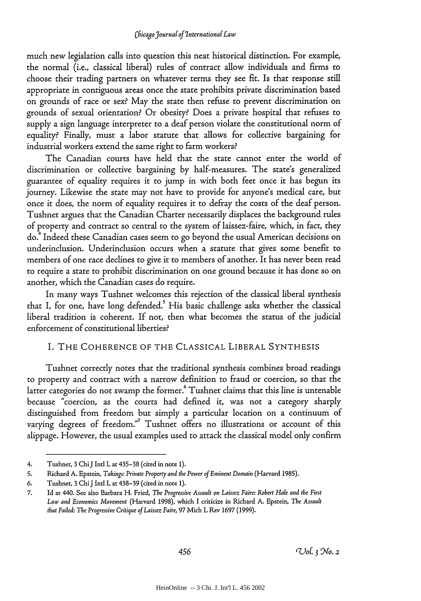#### *ChicagoJournaf of Internationa(Law*

much new legislation calls into question this neat historical distinction. For example, the normal (i.e., classical liberal) rules of contract allow individuals and firms to choose their trading partners on whatever terms they see fit. Is that response still appropriate in contiguous areas once the state prohibits private discrimination based on grounds of race or sex? May the state then refuse to prevent discrimination on grounds of sexual orientation? Or obesity? Does a private hospital that refuses to supply a sign language interpreter to a deaf person violate the constitutional norm of equality? Finally, must a labor statute that allows for collective bargaining for industrial workers extend the same right to farm workers?

The Canadian courts have held that the state cannot enter the world of discrimination or collective bargaining by half-measures. The state's generalized guarantee of equality requires it to jump in with both feet once it has begun its journey. Likewise the state may not have to provide for anyone's medical care, but once it does, the norm of equality requires it to defray the costs of the deaf person. Tushnet argues that the Canadian Charter necessarily displaces the background rules of property and contract so central to the system of laissez-faire, which, in fact, they do.4 Indeed these Canadian cases seem to go beyond the usual American decisions on underinclusion. Underinclusion occurs when a statute that gives some benefit to members of one race declines to give it to members of another. It has never been read to require a state to prohibit discrimination on one ground because it has done so on another, which the Canadian cases do require.

In many ways Tushnet welcomes this rejection of the classical liberal synthesis that I, for one, have long defended. His basic challenge asks whether the classical liberal tradition is coherent. If not, then what becomes the status of the judicial enforcement of constitutional liberties?

#### I. THE COHERENCE OF THE CLASSICAL LIBERAL SYNTHESIS

Tushnet correctly notes that the traditional synthesis combines broad readings to property and contract with a narrow definition to fraud or coercion, so that the latter categories do not swamp the former. Tushnet claims that this line is untenable because "coercion, as the courts had defined it, was not a category sharply distinguished from freedom but simply a particular location on a continuum of varying degrees of freedom."<sup>7</sup> Tushnet offers no illustrations or account of this slippage. However, the usual examples used to attack the classical model only confirm

<sup>4.</sup> Tushnet, **3** Chi J Intl L at 435-38 (cited in note 1).

<sup>5.</sup> Richard A. Epstein, *Takings: Private Property and the Power of Eminent Domain* (Harvard 1985).

<sup>6.</sup> Tushnet, 3 Chi J Intl L at 438-39 (cited in note 1).

<sup>7.</sup> Id at 440. See also Barbara H. Fried, *The Progressive Assault on Laissez Faire: Robert Hale and the First Law and Economics Movement* (Harvard 1998), which I criticize in Richard A. Epstein, *The Assault that Failed: The Progressive Critique of Laissez Faire,* 97 Mich L Rev 1697 (1999).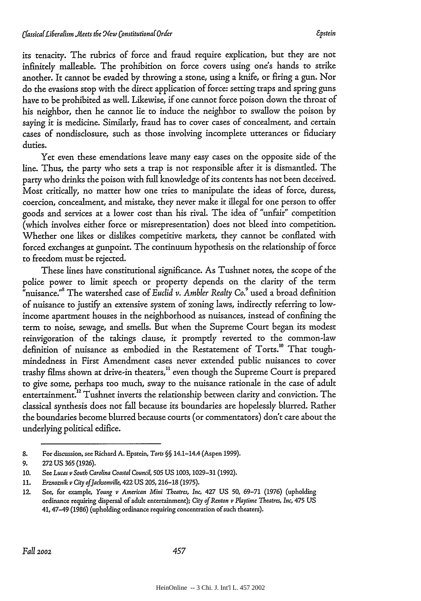its tenacity. The rubrics of force and fraud require explication, but they are not infinitely malleable. The prohibition on force covers using one's hands to strike another. It cannot be evaded by throwing a stone, using a knife, or firing a gun. Nor do the evasions stop with the direct application of force: setting traps and spring guns have to be prohibited as well. Likewise, if one cannot force poison down the throat of his neighbor, then he cannot lie to induce the neighbor to swallow the poison by saying it is medicine. Similarly, fraud has to cover cases of concealment, and certain cases of nondisclosure, such as those involving incomplete utterances or fiduciary duties.

Yet even these emendations leave many easy cases on the opposite side of the line. Thus, the party who sets a trap is not responsible after it is dismantled. The party who drinks the poison with full knowledge of its contents has not been deceived. Most critically, no matter how one tries to manipulate the ideas of force, duress, coercion, concealment, and mistake, they never make it illegal for one person to offer goods and services at a lower cost than his rival. The idea of "unfair" competition (which involves either force or misrepresentation) does not bleed into competition. Whether one likes or dislikes competitive markets, they cannot be conflated with forced exchanges at gunpoint. The continuum hypothesis on the relationship of force to freedom must be rejected.

These lines have constitutional significance. As Tushnet notes, the scope of the police power to limit speech or property depends on the clarity of the term "nuisance." ' The watershed case of *Euclid v. Ambler Realty Co.9* used a broad definition of nuisance to justify an extensive system of zoning laws, indirectly referring to lowincome apartment houses in the neighborhood as nuisances, instead of confining the term to noise, sewage, and smells. But when the Supreme Court began its modest reinvigoration of the takings clause, it promptly reverted to the common-law definition of nuisance as embodied in the Restatement of Torts.<sup>10</sup> That toughmindedness in First Amendment cases never extended public nuisances to cover trashy films shown at drive-in theaters,<sup>11</sup> even though the Supreme Court is prepared to give some, perhaps too much, sway to the nuisance rationale in the case of adult entertainment.<sup>12</sup> Tushnet inverts the relationship between clarity and conviction. The classical synthesis does not fall because its boundaries are hopelessly blurred. Rather the boundaries become blurred because courts (or commentators) don't care about the underlying political edifice.

**<sup>8.</sup>** For discussion, see Richard **A.** Epstein, *Torts* §§ 14.1-14.4 (Aspen **1999).**

**<sup>9. 272</sup> US 365 (1926).**

**<sup>10.</sup> See** *Lucas v South Carolina Coastal Council,* **505 US 1003, 1029-31 (1992).**

**<sup>11.</sup>** *Erznoznik v City ofJacksonville,* 422 **US 205, 216-18** (1975).

<sup>12.</sup> See, for example, *Young v Anerican Mini Theatres, Inc,* 427 **US 50, 69-71 (1976)** (upholding ordinance requiring dispersal of adult entertainment); *City of Renton v Playtime Theatres,* Inc, 475 **US 41,** 47-49 **(1986)** (upholding ordinance requiring concentration of such theaters).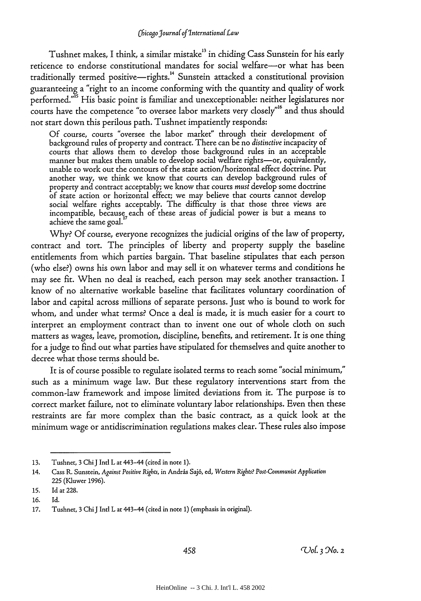Tushnet makes, I think, a similar mistake<sup>13</sup> in chiding Cass Sunstein for his early reticence to endorse constitutional mandates for social welfare-or what has been traditionally termed positive-rights.<sup>14</sup> Sunstein attacked a constitutional provision guaranteeing a "right to an income conforming with the quantity and quality of work performed."<sup>15</sup> His basic point is familiar and unexceptionable: neither legislatures nor courts have the competence "to oversee labor markets very closely"'6 and thus should not start down this perilous path. Tushnet impatiently responds:

Of course, courts "oversee the labor market" through their development of background rules of property and contract. There can be no *distinctive* incapacity of courts that allows them to develop those background rules in an acceptable manner but makes them unable to develop social welfare rights-or, equivalently, unable to work out the contours of the state action/horizontal effect doctrine. Put another way, we think we know that courts can develop background rules of property and contract acceptably; we know that courts *must* develop some doctrine of state action or horizontal effect; we may believe that courts cannot develop social welfare rights acceptably. The difficulty is that those three views are incompatible, because each of these areas of judicial power is but a means to achieve the same goal. **<sup>1</sup>**

Why? Of course, everyone recognizes the judicial origins of the law of property, contract and tort. The principles of liberty and property supply the baseline entitlements from which parties bargain. That baseline stipulates that each person (who else?) owns his own labor and may sell it on whatever terms and conditions he may see fit. When no deal is reached, each person may seek another transaction. I know of no alternative workable baseline that facilitates voluntary coordination of labor and capital across millions of separate persons. Just who is bound to work for whom, and under what terms? Once a deal is made, it is much easier for a court to interpret an employment contract than to invent one out of whole cloth on such matters as wages, leave, promotion, discipline, benefits, and retirement. It is one thing for a judge to find out what parties have stipulated for themselves and quite another to decree what those terms should be.

It is of course possible to regulate isolated terms to reach some "social minimum," such as a minimum wage law. But these regulatory interventions start from the common-law framework and impose limited deviations from it. The purpose is to correct market failure, not to eliminate voluntary labor relationships. Even then these restraints are far more complex than the basic contract, as a quick look at the minimum wage or antidiscrimination regulations makes clear. These rules also impose

<sup>13.</sup> Tushnet, 3 Chi J Intl L at 443-44 (cited in note 1).

<sup>14.</sup> Cass R. Sunstein, *Against Positive Rights,* in Andris Saj6, ed, *Western Rights? Post-Connunist Application* 225 (Kluwer 1996).

<sup>15.</sup> Id at 228.

**<sup>16.</sup>** Id.

**<sup>17.</sup>** Tushnet, 3 Chi J Intl L at 443-44 (cited in note **1)** (emphasis in original).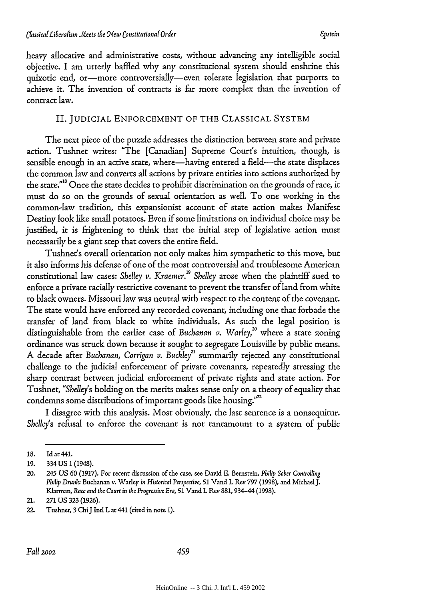heavy allocative and administrative costs, without advancing any intelligible social objective. I am utterly baffled why any constitutional system should enshrine this quixotic end, or-more controversially-even tolerate legislation that purports to achieve it. The invention of contracts is far more complex than the invention of contract law.

## II. JUDICIAL ENFORCEMENT OF THE CLASSICAL SYSTEM

The next piece of the puzzle addresses the distinction between state and private action. Tushnet writes: "The [Canadian] Supreme Court's intuition, though, is sensible enough in an active state, where—having entered a field—the state displaces the common law and converts all actions by private entities into actions authorized by the state."<sup>18</sup> Once the state decides to prohibit discrimination on the grounds of race, it must do so on the grounds of sexual orientation as well. To one working in the common-law tradition, this expansionist account of state action makes Manifest Destiny look like small potatoes. Even if some limitations on individual choice may be justified, it is frightening to think that the initial step of legislative action must necessarily be a giant step that covers the entire field.

Tushnet's overall orientation not only makes him sympathetic to this move, but it also informs his defense of one of the most controversial and troublesome American constitutional law cases: Shelley v. Kraemer.<sup>19</sup> Shelley arose when the plaintiff sued to enforce a private racially restrictive covenant to prevent the transfer of land from white to black owners. Missouri law was neutral with respect to the content of the covenant. The state would have enforced any recorded covenant, including one that forbade the transfer of land from black to white individuals. As such the legal position is distinguishable from the earlier case of *Buchanan v. Warley*,<sup>20</sup> where a state zoning ordinance was struck down because it sought to segregate Louisville by public means. A decade after *Buchanan, Corrigan v. Buckley21* summarily rejected any constitutional challenge to the judicial enforcement of private covenants, repeatedly stressing the sharp contrast between judicial enforcement of private rights and state action. For Tushnet, *"Shelley's* holding on the merits makes sense only on a theory of equality that condemns some distributions of important goods like housing."'

I disagree with this analysis. Most obviously, the last sentence is a nonsequitur. *Shelley's* refusal to enforce the covenant is not tantamount to a system of public

<sup>18.</sup> Id at 441.

<sup>19. 334</sup> US 1 (1948).

<sup>20. 245</sup> US 60 (1917). For recent discussion of the case, see David E. Bernstein, *Philip Sober Controlling Philip Drunk-* Buchanan v. Warley *in Historical Perspective,* 51 Vand L Rev 797 (1998), and Michael J. Kiarman, *Race and the Court in the Progressive Era,* 51 Vand L Rev 881, 934-44 (1998).

<sup>21. 271</sup> US **323** (1926).

<sup>22.</sup> Tushner, **3** ChiJ Intl L at 441 (cited in note **1).**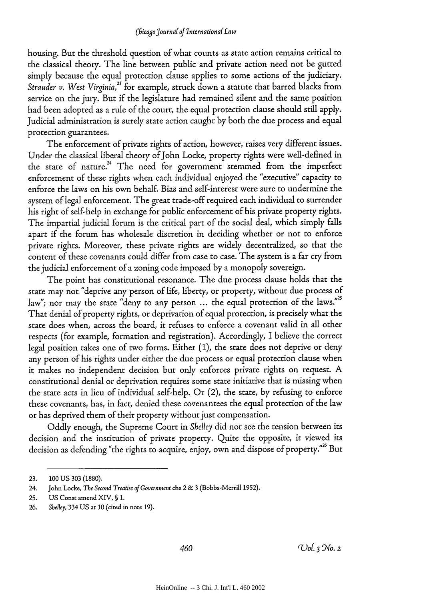housing. But the threshold question of what counts as state action remains critical to the classical theory. The line between public and private action need not be gutted simply because the equal protection clause applies to some actions of the judiciary. *Strauder v. West Virginia,"* for example, struck down a statute that barred blacks from service on the jury. But if the legislature had remained silent and the same position had been adopted as a rule of the court, the equal protection clause should still apply. Judicial administration is surely state action caught by both the due process and equal protection guarantees.

The enforcement of private rights of action, however, raises very different issues. Under the classical liberal theory of John Locke, property rights were well-defined in the state of nature.<sup>24</sup> The need for government stemmed from the imperfect enforcement of these rights when each individual enjoyed the "executive" capacity to enforce the laws on his own behalf. Bias and self-interest were sure to undermine the system of legal enforcement. The great trade-off required each individual to surrender his right of self-help in exchange for public enforcement of his private property rights. The impartial judicial forum is the critical part of the social deal, which simply falls apart if the forum has wholesale discretion in deciding whether or not to enforce private rights. Moreover, these private rights are widely decentralized, so that the content of these covenants could differ from case to case. The system is a far cry from the judicial enforcement of a zoning code imposed by a monopoly sovereign.

The point has constitutional resonance. The due process clause holds that the state may not "deprive any person of life, liberty, or property, without due process of law"; nor may the state "deny to any person ... the equal protection of the laws."<sup>25</sup> That denial of property rights, or deprivation of equal protection, is precisely what the state does when, across the board, it refuses to enforce a covenant valid in all other respects (for example, formation and registration). Accordingly, I believe the correct legal position takes one of two forms. Either (1), the state does not deprive or deny any person of his rights under either the due process or equal protection clause when it makes no independent decision but only enforces private rights on request. A constitutional denial or deprivation requires some state initiative that is missing when the state acts in lieu of individual self-help. Or (2), the state, by refusing to enforce these covenants, has, in fact, denied these covenantees the equal protection of the law or has deprived them of their property without just compensation.

Oddly enough, the Supreme Court in *Shelley* did not see the tension between its decision and the institution of private property. Quite the opposite, it viewed its decision as defending "the rights to acquire, enjoy, own and dispose of property."<sup>26</sup> But

**<sup>23. 100</sup> US 303 (1880).**

<sup>24.</sup> John Locke, *The Second Treatise of Government* chs 2 **& 3** (Bobbs-Merril **1952).**

**<sup>25.</sup> US** Const amend XIV, § **1.**

**<sup>26.</sup>** *Shelley,* 334 **US** at **10** (cited in note **19).**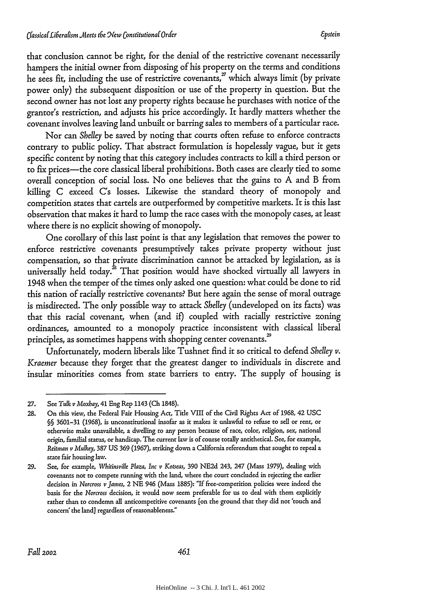that conclusion cannot be right, for the denial of the restrictive covenant necessarily hampers the initial owner from disposing of his property on the terms and conditions he sees fit, including the use of restrictive covenants, $x^2$  which always limit (by private power only) the subsequent disposition or use of the property in question. But the second owner has not lost any property rights because he purchases with notice of the grantor's restriction, and adjusts his price accordingly. It hardly matters whether the covenant involves leaving land unbuilt or barring sales to members of a particular race.

Nor can *Shelley* be saved by noting that courts often refuse to enforce contracts contrary to public policy. That abstract formulation is hopelessly vague, but it gets specific content by noting that this category includes contracts to kill a third person or to fix prices—the core classical liberal prohibitions. Both cases are clearly tied to some overall conception of social loss. No one believes that the gains to A and B from killing C exceed C's losses. Likewise the standard theory of monopoly and competition states that cartels are outperformed by competitive markets. It is this last observation that makes it hard to lump the race cases with the monopoly cases, at least where there is no explicit showing of monopoly.

One corollary of this last point is that any legislation that removes the power to enforce restrictive covenants presumptively takes private property without just compensation, so that private discrimination cannot be attacked by legislation, as is universally held today. $^{28}$  That position would have shocked virtually all lawyers in 1948 when the temper of the times only asked one question: what could be done to rid this nation of racially restrictive covenants? But here again the sense of moral outrage is misdirected. The only possible way to attack *Shelley* (undeveloped on its facts) was that this racial covenant, when (and if) coupled with racially restrictive zoning ordinances, amounted to a monopoly practice inconsistent with classical liberal principles, as sometimes happens with shopping center covenants.<sup>29</sup>

Unfortunately, modern liberals like Tushnet find it so critical to defend *Shelley* v. *Kraemer* because they forget that the greatest danger to individuals in discrete and insular minorities comes from state barriers to entry. The supply of housing is

<sup>27.</sup> See Tulk *v Moxbay,* 41 Eng Rep 1143 (Ch 1848).

<sup>28.</sup> On this view, the Federal Fair Housing Act, Title VIII of the Civil Rights Act **of** 1968, 42 USC §§ 3601-31 (1968), is unconstitutional insofar as it makes it unlawfiul to refuse to sell or rent, or otherwise make unavailable, a dwelling to any person because of race, color, religion, sex, national origin, familial status, or handicap. The current law is of course totally antithetical. See, for example, *Reitman v Mulkey,* 387 US 369 (1967), striking down a California referendum that sought to repeal a state fair housing law.

<sup>29.</sup> See, for example, *Whitinsville Plaza, Inc v Kotseas,* 390 NE2d 243, 247 (Mass 1979), dealing with covenants not to compete running with the land, where the court concluded in rejecting the earlier decision in *Norcross v James,* 2 NE 946 (Mass 1885): "If free-competition policies were indeed the basis for the *Norcross* decision, it would now seem preferable for us to deal with them explicitly rather than to condemn all anticompetitive covenants (on the ground that they did not 'touch and concern' the land] regardless of reasonableness."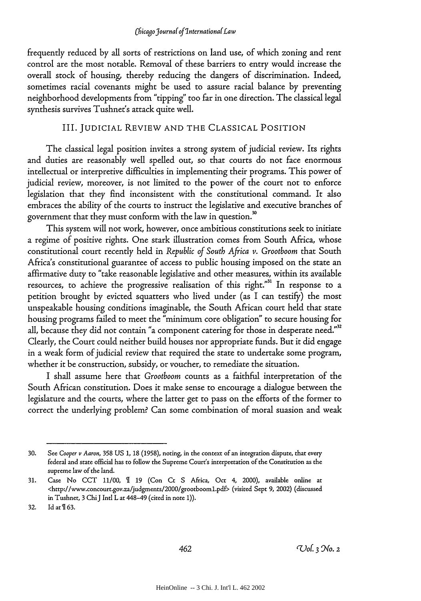frequently reduced by all sorts of restrictions on land use, of which zoning and rent control are the most notable. Removal of these barriers to entry would increase the overall stock of housing, thereby reducing the dangers of discrimination. Indeed, sometimes racial covenants might be used to assure racial balance by preventing neighborhood developments from "tipping' too far in one direction. The classical legal synthesis survives Tushnet's attack quite well.

#### III. JUDICIAL REVIEW **AND** THE CLASSICAL POSITION

The classical legal position invites a strong system of judicial review. Its rights and duties are reasonably well spelled out, so that courts do not face enormous intellectual or interpretive difficulties in implementing their programs. This power of judicial review, moreover, is not limited to the power of the court not to enforce legislation that they find inconsistent with the constitutional command. It also embraces the ability of the courts to instruct the legislative and executive branches of government that they must conform with the law in question.<sup>30</sup>

This system will not work, however, once ambitious constitutions seek to initiate a regime of positive rights. One stark illustration comes from South Africa, whose constitutional court recently held in *Republic of South Africa v. Grootboom* that South Africa's constitutional guarantee of access to public housing imposed on the state an affirmative duty to "take reasonable legislative and other measures, within its available resources, to achieve the progressive realisation of this right."<sup>31</sup> In response to a petition brought by evicted squatters who lived under (as I can testify) the most unspeakable housing conditions imaginable, the South African court held that state housing programs failed to meet the "minimum core obligation" to secure housing for all, because they did not contain "a component catering for those in desperate need."<sup>32</sup> Clearly, the Court could neither build houses nor appropriate funds. But it did engage in a weak form of judicial review that required the state to undertake some program, whether it be construction, subsidy, or voucher, to remediate the situation.

I shall assume here that *Grootboom* counts as a faithful interpretation of the South African constitution. Does it make sense to encourage a dialogue between the legislature and the courts, where the latter get to pass on the efforts of the former to correct the underlying problem? Can some combination of moral suasion and weak

**<sup>30.</sup>** See *Cooper v Aaron,* **358 US** *1,* **18 (1958),** noting, in the context of an integration dispute, that every federal and state official has to follow the Supreme Court's interpretation of the Constitution as the supreme law of the land.

**<sup>31.</sup>** Case **No CCT 11/00, 19** (Con Ct **S** Africa, **Oct** 4, 2000), **available online** at <http://www.concourt.gov.za/judgments/2000/grootboomL.pdf> (visited Sept **9,** 2002) (discussed in Tushnet, **3** ChiJ Intl L at 448-49 (cited in note **1)).**

**<sup>32.</sup> Id** at **163.**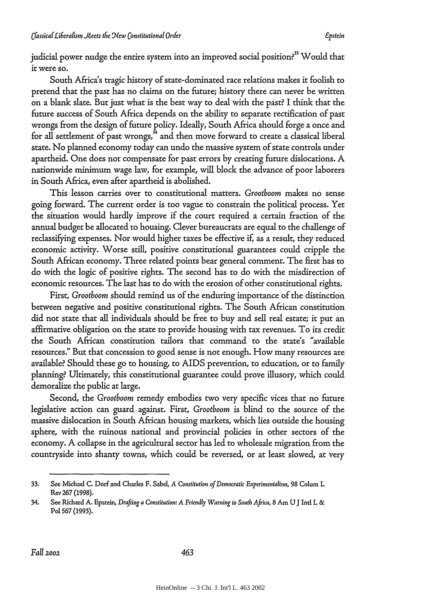judicial power nudge the entire system into an improved social position?<sup>33</sup> Would that it were so.

South Africa's tragic history of state-dominated race relations makes it foolish to pretend that the past has no claims on the future; history there can never be written on a blank slate. But just what is the best way to deal with the past? I think that the future success of South Africa depends on the ability to separate rectification of past wrongs from the design of future policy. Ideally, South Africa should forge a once and for all settlement of past wrongs, $^{\frac{5}{2}}$  and then move forward to create a classical liberal state. No planned economy today can undo the massive system of state controls under apartheid. One does not compensate for past errors by creating future dislocations. A nationwide minimum wage law, for example, will block the advance of poor laborers in South Africa, even after apartheid is abolished.

This lesson carries over to constitutional matters. *Grootboom* makes no sense going forward. The current order is too vague to constrain the political process. Yet the situation would hardly improve if the court required a certain fraction of the annual budget be allocated to housing. Clever bureaucrats are equal to the challenge of reclassifying expenses. Nor would higher taxes be effective if, as a result, they reduced economic activity. Worse still, positive constitutional guarantees could cripple the South African economy. Three related points bear general comment. The first has to do with the logic of positive rights. The second has to do with the misdirection of economic resources. The last has to do with the erosion of other constitutional rights.

First, *Grootboom* should remind us of the enduring importance of the distinction between negative and positive constitutional rights. The South African constitution did not state that all individuals should be free to buy and sell real estate; it put an affirmative obligation on the state to provide housing with tax revenues. To its credit the South African constitution tailors that command to the state's "available resources." But that concession to good sense is not enough. How many resources are available? Should these go to housing, to AIDS prevention, to education, or to family planning?. Ultimately, this constitutional guarantee could prove illusory, which could demoralize the public at large.

Second, the *Grootboom* remedy embodies two very specific vices that no future legislative action can guard against. First, *Grootboom* is blind to the source of the massive dislocation in South African housing markets, which lies outside the housing sphere, with the ruinous national and provincial policies in other sectors of the economy. A collapse in the agricultural sector has led to wholesale migration from the countryside into shanty towns, which could be reversed, or at least slowed, at very

<sup>33.</sup> See Michael C. Dorf and Charles F. Sabel, *A Constitution of Democratic Experimentalism,* 98 Colum L Rev 267 (1998).

<sup>34.</sup> See Richard **A.** Epstein, *Drafting a* Constitution: A Friendly *Warning to South Africa,* 8 Am **U** J Intl L & Pol 567 (1993).